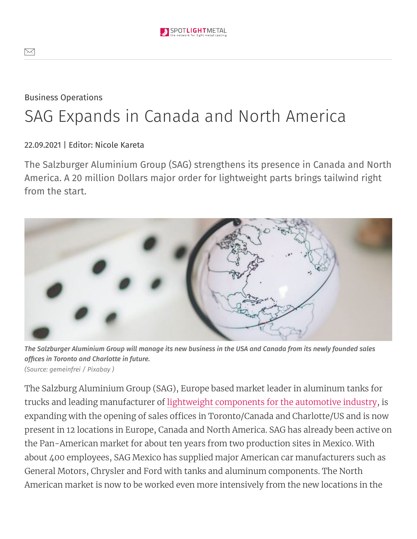Business Operations

## SAG Expands in Canada and North America

22.09.2021 | Editor: Nicole Kareta

The Salzburger Aluminium Group (SAG) strengthens its presence in Canada and North America. A 20 million Dollars major order for lightweight parts brings tailwind right from the start.



The Salzburger Aluminium Group will manage its new business in the USA and Canada from its newly founded sales  $offices$  *in* Toronto and Charlotte *in* future. *(Source: gemeinfrei / [Pixabay](https://pixabay.com/de/service/terms/#license) )*

The Salzburg Aluminium Group (SAG), Europe based market leader in aluminum tanks for trucks and leading manufacturer of lightweight [components](https://www.spotlightmetal.com/lightweight-construction-is-essential-a-696967/) for the automotive industry, is expanding with the opening of sales offices in Toronto/Canada and Charlotte/US and is now present in 12 locations in Europe, Canada and North America. SAG has already been active on the Pan-American market for about ten years from two production sites in Mexico. With about 400 employees, SAG Mexico has supplied major American car manufacturers such as General Motors, Chrysler and Ford with tanks and aluminum components. The North American market is now to be worked even more intensively from the new locations in the

 $\bowtie$